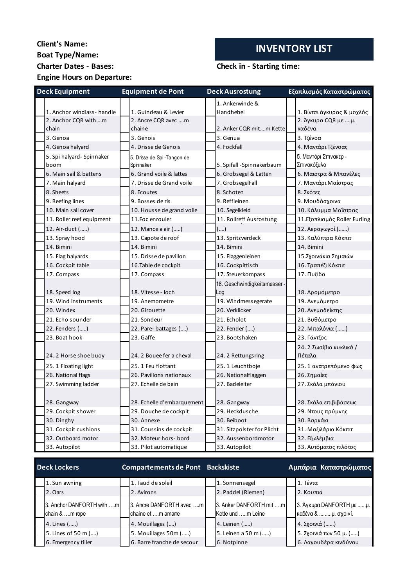## **Engine Hours on Departure: Client's Name: Charter Dates - Bases: Boat Type/Name:**

## **INVENTORY LIST**

## **Check in - Starting time:**

1. Anchor windlass- handle 1. Guindeau & Levier 1. Ankerwinde & Handhebel 1. Βίντσι άγκυρας & μοχλός 2. Anchor COR with m chain 2. Ancre CQR avec ….m chaine 2. Anker CQR mit….m Kette 2. Άγκυρα CQR με ....μ. καδένα 3. Genoa 3. Genois 3. Genua 3. Τζένοα 4. Genoa halyard 4. Drisse de Genois 4. Fockfall 4. Μαντάρι Τζένοας 5. Spi halyard- Spinnaker boom 5. Drisse de Spi -Tangon de Spinnaker 5. Spifall -Spinnakerbaum 5. Μαντάρι Σπινακερ - Σπινακόξυλο 6. Main sail & battens 6. Grand voile & lattes 6. Grobsegel & Latten 6. Μαϊστρα & Μπανέλες 7. Main halyard 7. Drisse de Grand voile 7. GrobsegelFall 7. Μαντάρι Μαίστρας 8. Sheets **8. Executes** 8. Schoten 8. Schoten 8. Σκότες 9. Reefing lines 9. Bosses de ris 9. Reffleinen 9. Μουδόσχοινα 10. Main sail cover 10. Housse de grand voile 10. Segelkleid 10. Κάλυμμα Μαΐστρας 11. Roller reef equipment 11.Foc enrouler 11. Rollreff Ausrostung 11.Εξοπλισμός Roller Furling 12. Air-duct (.....) 12. Mance a air (.....) 11. Rollreff Ausrostung (….) 12. Αεραγωγοί (......) 13. Spray hood 13. Capote de roof 13. Spritzverdeck 13. Καλύπτρα Κόκπιτ 14. Bimini 14. Bimini 14. Bimini 14. Bimini 15. Flag halyards 15. Drisse de pavillon 15. Flaggenleinen 15.Σχοινάκια Σημαιών 16. Cockpit table 16.Table de cockpit 16. Cockpittisch 16. Τραπέζι Κόκπιτ 17. Compass 17. Compass 17. Steuerkompass 17. Πυξίδα 18. Speed log 18. Vitesse - loch 18. Geschwindigkeitsmesser - Log 18. Δρομόμετρο 19. Wind instruments 19. Anemometre 19. Windmessegerate 19. Ανεμόμετρο 20. Windex 20. Girouette 20. Verklicker 20. Ανεμοδείκτης 21. Echo sounder 21. Sondeur 21. Echolot 21. Βυθόμετρο 22. Fenders (.....) 22. Pare- battages (....) 22. Fender (....) 22. Μπαλόνια (......) 23. Boat hook 23. Gaffe 23. Bootshaken 23. Γάντζος 24. 2 Horse shoe buoy 24. 2 Bouee fer a cheval 24. 2 Rettungsring 24. 2 Σωσίβια κυκλικά / Πέταλα 25. 1 Floating light 25. 1 Feu flottant 25. 1 Leuchtboje 25. 1 ανατρεπόμενο φως 26. National flags 26. Pavillons nationaux 26. Nationalflaggen 26. Σημαίες 27. Swimming ladder 27. Echelle de bain 27. Badeleiter 27. Σκάλα μπάνιου 28. Gangway 28. Echelle d'embarquement 28. Gangway 28. Σκάλα επιβιβάσεως 29. Cockpit shower 29. Douche de cockpit 29. Heckdusche 29. Ντους πρύμνης 30. Dinghy 30. Annexe 30. Beiboot 30. Bαρκάκι 30. Bαρκάκι 31. Cockpit cushions 31. Coussins de cockpit 31. Sitzpolster for Plicht 31. Μαξιλάρια Κόκπιτ 32. Outboard motor 32. Moteur hors- bord 32. Aussenbordmotor 32. Εξωλέμβια 33. Autopilot 33. Pilot automatique 33. Autopilot 33. Αυτόματος πιλότος **Deck Equipment Deck Ausrostung Εξοπλισμός Καταστρώματος Equipment de Pont**

| <b>Deck Lockers</b> |                                             | <b>Compartements de Pont Backskiste</b> |                                                |  |                                              | Αμπάρια Καταστρώματος |                                                 |
|---------------------|---------------------------------------------|-----------------------------------------|------------------------------------------------|--|----------------------------------------------|-----------------------|-------------------------------------------------|
|                     | 1. Sun awning                               |                                         | 1. Taud de soleil                              |  | 1. Sonnensegel                               |                       | 1. Τέντα                                        |
|                     | 2. Oars                                     |                                         | 2. Avirons                                     |  | 2. Paddel (Riemen)                           |                       | 2. Κουπιά                                       |
|                     | 3. Anchor DANFORTH with m<br>chain & m rope |                                         | 3. Ancre DANFORTH avec m<br>chaine et m amarre |  | 3. Anker DANFORTH mit m<br>Kette und m Leine |                       | 3. Άγκυρα DANFORTH με μ.<br>καδένα & μ. σχοινί. |
|                     | 4. Lines ()                                 |                                         | 4. Mouillages ()                               |  | 4. Leinen ()                                 |                       | $4.$ Σχοινιά ()                                 |
|                     | 5. Lines of 50 m ()                         |                                         | 5. Mouillages 50m ()                           |  | 5. Leinen a 50 m ()                          |                       | 5. Σχοινιά των 50 μ. ()                         |
|                     | 6. Emergency tiller                         |                                         | 6. Barre franche de secour                     |  | 6. Notpinne                                  |                       | 6. Λαγουδέρα κινδύνου                           |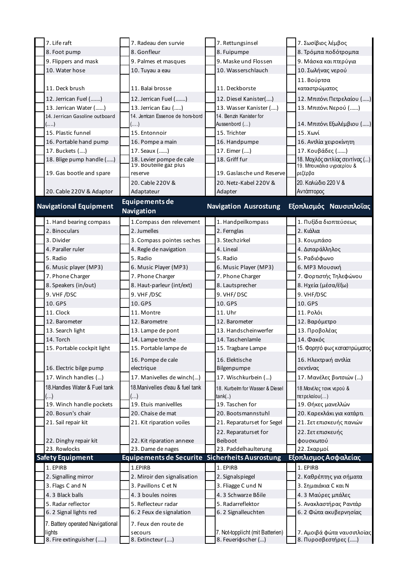| 7. Life raft                               | 7. Radeau den survie                           | 7. Rettungsinsel                 | 7. Σωσίβιος λέμβος                                |
|--------------------------------------------|------------------------------------------------|----------------------------------|---------------------------------------------------|
| 8. Foot pump                               | 8. Gonfleur                                    | 8. Fuipumpe                      | 8. Τρόμπα ποδότρομπα                              |
| 9. Flippers and mask                       | 9. Palmes et masques                           | 9. Maske und Flossen             | 9. Μάσκα και πτερύγια                             |
| 10. Water hose                             | 10. Tuyau a eau                                | 10. Wasserschlauch               | 10. Σωλήνας νερού                                 |
|                                            |                                                |                                  |                                                   |
| 11. Deck brush                             | 11. Balai brosse                               | 11. Deckborste                   | 11. Βούρτσα<br>καταστρώματος                      |
|                                            |                                                |                                  |                                                   |
| 12. Jerrican Fuel ()                       | 12. Jerrican Fuel ()                           | 12. Diesel Kanister()            | 12. Μπιτόνι Πετρελαίου ()                         |
| 13. Jerrican Water ()                      | 13. Jerrican Eau ()                            | 13. Wasser Kanister ()           | 13. Μπιτόνι Νερού ()                              |
| 14. Jerrican Gasoline outboard             | 14. Jerrican Essenoe de hors-bord              | 14. Benzin Kanister for          |                                                   |
| ()<br>15. Plastic funnel                   | $(\ldots)$                                     | Aussenbord ()                    | 14. Μπιτόνι Εξωλέμβιου ()                         |
|                                            | 15. Entonnoir                                  | 15. Trichter                     | 15. Χωνί                                          |
| 16. Portable hand pump                     | 16. Pompe a main                               | 16. Handpumpe                    | 16. Αντλία χειροκίνητη                            |
| 17. Buckets ()<br>18. Blige pump handle () | 17. Seaux ()<br>18. Levier pompe de cale       | 17. Eimer ()<br>18. Griff fur    | 17. Κουβάδες ()<br>18. Μοχλός αντλίας σεντίνας () |
|                                            | 19. Bouteille gaz plus                         |                                  | 19. Μπουκάλια υγραερίου &                         |
| 19. Gas bootle and spare                   | reserve                                        | 19. Gaslasche und Reserve        | ρεζέρβα                                           |
|                                            | 20. Cable 220V &                               | 20. Netz-Kabel 220V &            | 20. Καλώδιο 220 V &                               |
| 20. Cable 220V & Adaptor                   | Adaptateur                                     | Adapter                          | Αντάπτορος                                        |
|                                            | <b>Equipements de</b>                          |                                  |                                                   |
| <b>Navigational Equipment</b>              | <b>Navigation</b>                              | <b>Navigation Ausrostung</b>     | Εξοπλισμός Ναυσιπλοΐας                            |
| 1. Hand bearing compass                    | 1. Compass den relevement                      | 1. Handpeilkompass               | 1. Πυξίδα διοπτεύσεως                             |
| 2. Binoculars                              | 2. Jumelles                                    | 2. Fernglas                      | 2. Κιάλια                                         |
| 3. Divider                                 | 3. Compass pointes seches                      | 3. Stechzirkel                   | 3. Κουμπάσο                                       |
| 4. Paraller ruler                          | 4. Regle de navigation                         | 4. Lineal                        | 4. Διπαράλληλος                                   |
| 5. Radio                                   | 5. Radio                                       | 5. Radio                         |                                                   |
|                                            | 6. Music Player (MP3)                          | 6. Music Player (MP3)            | 5. Ραδιόφωνο<br>6. ΜΡ3 Μουσική                    |
| 6. Music player (MP3)                      |                                                |                                  |                                                   |
| 7. Phone Charger                           | 7. Phone Charger                               | 7. Phone Charger                 | 7. Φορτιστής Τηλεφώνου                            |
| 8. Speakers (in/out)                       | 8. Haut-parleur (int/ext)                      | 8. Lautsprecher                  | 8. Ηχεία (μέσα/έξω)                               |
| 9. VHF/DSC                                 | 9. VHF/DSC                                     | 9. VHF/DSC                       | 9. VHF/DSC                                        |
| 10. GPS                                    | 10. GPS                                        | 10. GPS                          | 10. GPS                                           |
| 11. Clock                                  | 11. Montre                                     | 11. Uhr                          | 11. Ρολόι                                         |
| 12. Barometer                              | 12. Barometre                                  | 12. Barometer                    | 12. Βαρόμετρο                                     |
| 13. Search light                           | 13. Lampe de pont                              | 13. Handscheinwerfer             | 13. Προβολέας                                     |
| 14. Torch                                  | 14. Lampe torche                               | 14. Taschenlamle                 | 14. Φακός                                         |
| 15. Portable cockpit light                 | 15. Portable lampe de                          | 15. Tragbare Lampe               | 15. Φορητό φως καταστρώματος                      |
|                                            | 16. Pompe de cale                              | 16. Elektische                   | 16. Ηλεκτρική αντλία                              |
| 16. Electric bilge pump                    | electrique                                     | Bilgenpumpe                      | σεντίνας                                          |
| 17. Winch handles ()                       | 17. Manivelles de winch()                      | 17. Wischkurbein ()              | 17. Μανέλες βιντσιών ()                           |
| 18. Handles Water & Fuel tank              | 18. Manivelles d'eau & fuel tank               | 18. Kurbelm for Wasser & Diesel  | 18. Μανέλες τανκ νερού &                          |
| $\left( \ldots \right)$                    | $(\ldots)$                                     | tank()                           | πετρελαίου()                                      |
| 19. Winch handle pockets                   | 19. Etuis manivellles                          | 19. Taschen for                  | 19. Θήκες μανελλών                                |
| 20. Bosun's chair                          | 20. Chaise de mat                              | 20. Bootsmannstuhl               | 20. Καρεκλάκι για κατάρτι                         |
| 21. Sail repair kit                        | 21. Kit riparation voiles                      | 21. Reparaturset for Segel       | 21. Σετ επισκευής πανιών                          |
|                                            |                                                | 22. Reparaturset for             | 22. Σετ επισκευής                                 |
| 22. Dinghy repair kit                      | 22. Kit riparation annexe                      | Beiboot                          | φουσκωτού                                         |
| 23. Rowlocks                               | 23. Dame de nages                              | 23. Paddelhaulterung             | 22. Σκαρμοί                                       |
| <b>Safety Equipment</b>                    | Equipements de Securite Sicherheits Ausrostung |                                  | Εξοπλισμος Ασφαλείας                              |
| 1. EPIRB                                   | 1.EPIRB                                        | 1. EPIRB                         | 1. EPIRB                                          |
| 2. Signalling mirror                       | 2. Miroir den signalisation                    | 2. Signalspiegel                 | 2. Καθρέπτης για σήματα                           |
| 3. Flags C and N                           | 3. Pavillons C et N                            | 3. Fliagge C und N               | 3. Σημαιάκια C και N                              |
| 4.3 Black balls                            | 4.3 boules noires                              | 4.3 Schwarze Bδile               | 4.3 Μαύρες μπάλες                                 |
| 5. Radar reflector                         | 5. Reflecteur radar                            | 5. Radarreflektor                | 5. Ανακλαστήρας Ραντάρ                            |
| 6.2 Signal lights red                      | 6.2 Feux de signalation                        | 6.2 Signalleuchten               | 6. 2 Φώτα ακυβερνησίας                            |
| 7. Battery operated Navigational           | 7. Feux den route de                           |                                  |                                                   |
| lights                                     | secours                                        | 7. Not-topplicht (mit Batterien) | 7. Αμοιβά φώτα ναυσιπλοϊας                        |
| 8. Fire extinguisher ()                    | 8. Extincteur ()                               | 8. Feueriφscher ()               | 8. Πυροσβεστήρες ()                               |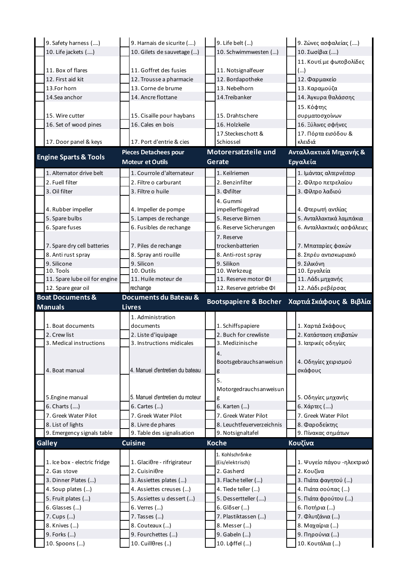| 9. Safety harness ()                       |                              | 9. Harnais de sicurite ()                        | 9. Life belt ()                            |  | 9. Ζώνες ασφαλείας ()                        |
|--------------------------------------------|------------------------------|--------------------------------------------------|--------------------------------------------|--|----------------------------------------------|
| 10. Life jackets ()                        |                              | 10. Gilets de sauvetage ()                       | 10. Schwimmwesten ()                       |  | 10. Σωσίβια ()                               |
|                                            |                              |                                                  |                                            |  | 11. Κουτί με φωτοβολίδες                     |
| 11. Box of flares                          |                              | 11. Goffret des fusies                           | 11. Notsignalfeuer                         |  | ()                                           |
| 12. First aid kit                          |                              | 12. Trousse a pharmacie                          | 12. Bordapotheke                           |  | 12. Φαρμακείο                                |
| 13.For horn                                |                              | 13. Corne de brume                               | 13. Nebelhorn                              |  | 13. Καραμούζα                                |
| 14.Sea anchor                              |                              | 14. Ancre flottane                               | 14.Treibanker                              |  | 14. Άγκυρα θαλάσσης                          |
|                                            |                              |                                                  |                                            |  | 15. Κόφτης                                   |
| 15. Wire cutter                            |                              | 15. Cisaille pour haybans                        | 15. Drahtschere                            |  | συρματοσχοίνων                               |
| 16. Set of wood pines                      |                              | 16. Cales en bois                                | 16. Holzkeile                              |  | 16. Ξύλινες σφήνες                           |
|                                            |                              |                                                  | 17.Steckeschott &                          |  | 17. Πόρτα εισόδου &                          |
| 17. Door panel & keys                      |                              | 17. Port d'entrie & cies                         | Schiossel                                  |  | κλειδιά                                      |
| <b>Engine Sparts &amp; Tools</b>           | <b>Pieces Detachees pour</b> |                                                  | Motorersatzteile und                       |  | Ανταλλακτικά Μηχανής &                       |
|                                            |                              | <b>Moteur et Outils</b>                          | Gerate                                     |  | Εργαλεία                                     |
| 1. Alternator drive belt                   |                              | 1. Courrole d'alternateur                        | 1. Keilriemen                              |  | 1. Ιμάντας αλτερνέιτορ                       |
| 2. Fuell filter                            |                              | 2. Filtre o carburant                            | 2. Benzinfilter                            |  | 2. Φίλτρο πετρελαίου                         |
| 3. Oil filter                              |                              | 3. Filtre o huile                                | 3. Oufilter                                |  | 3. Φίλτρο λαδιού                             |
|                                            |                              |                                                  | 4. Gummi                                   |  |                                              |
| 4. Rubber impeller                         |                              | 4. Impeller de pompe                             | impellerflogelrad                          |  | 4. Φτερωτή αντλίας                           |
| 5. Spare bulbs                             |                              | 5. Lampes de rechange                            | 5. Reserve Birnen                          |  | 5. Ανταλλακτικά λαμπάκια                     |
| 6. Spare fuses                             |                              | 6. Fusibles de rechange                          | 6. Reserve Sicherungen                     |  | 6. Ανταλλακτικές ασφάλειες                   |
|                                            |                              |                                                  | 7. Reserve                                 |  |                                              |
| 7. Spare dry cell batteries                |                              | 7. Piles de rechange                             | trockenbatterien                           |  | 7. Μπαταρίες φακών                           |
| 8. Anti rust spray                         |                              | 8. Spray anti rouille                            | 8. Anti-rost spray                         |  | 8. Σπρέυ αντισκωριακό                        |
| 9. Silicone                                |                              | 9. Silicon                                       | 9. Silikon                                 |  | 9. Σιλικόνη                                  |
| 10. Tools<br>11. Spare lube oil for engine |                              | 10. Outils<br>11. Huile moteur de                | 10. Werkzeug<br>11. Reserve motor ΦI       |  | 10. Εργαλεία<br>11. Λάδι μηχανής             |
| 12. Spare gear oil                         |                              | rechange                                         | 12. Reserve getriebe ΦI                    |  | 12. Λάδι ρεβέρσας                            |
| <b>Boat Documents &amp;</b>                |                              | Documents du Bateau &                            |                                            |  |                                              |
|                                            |                              |                                                  |                                            |  |                                              |
|                                            |                              |                                                  | <b>Bootspapiere &amp; Bocher</b>           |  | Χαρτιά Σκάφους & Βιβλία                      |
| <b>Manuals</b>                             |                              | <b>Livres</b>                                    |                                            |  |                                              |
|                                            |                              | 1. Administration                                |                                            |  |                                              |
| 1. Boat documents<br>2. Crew list          |                              | documents                                        | 1. Schiffspapiere<br>2. Buch for crewliste |  | 1. Χαρτιά Σκάφους                            |
| 3. Medical instructions                    |                              | 2. Liste d'iquipage<br>3. Instructions midicales | 3. Medizinische                            |  | 2. Κατάσταση επιβατών<br>3. Ιατρικές οδηγίες |
|                                            |                              |                                                  | 4.                                         |  |                                              |
|                                            |                              |                                                  | Bootsgebrauchsanweisun                     |  | 4. Οδηγίες χειρισμού                         |
| 4. Boat manual                             |                              | 4. Manuel d'entretien du bateau                  | g                                          |  | σκάφους                                      |
|                                            |                              |                                                  | 5.                                         |  |                                              |
|                                            |                              |                                                  | Motorgedrauchsanweisun                     |  |                                              |
| 5.Engine manual                            |                              | 5. Manuel d'entretien du moteur                  | g                                          |  | 5. Οδηγίες μηχανής                           |
| 6. Charts ()                               |                              | 6. Cartes ()                                     | 6. Karten ()                               |  | 6. Χάρτες ()                                 |
| 7. Greek Water Pilot                       |                              | 7. Greek Water Pilot                             | 7. Greek Water Pilot                       |  | 7. Greek Water Pilot                         |
| 8. List of lights                          |                              | 8. Livre de phares                               | 8. Leuchtfeuerverzeichnis                  |  | 8. Φαροδείκτης                               |
| 9. Emergency signals table                 |                              | 9. Table des signalisation                       | 9. Notsignaltafel                          |  | 9. Πίνακας σημάτων                           |
| Galley                                     |                              | <b>Cuisine</b>                                   | <b>Koche</b>                               |  | Κουζίνα                                      |
|                                            |                              |                                                  | 1. Kohlschrδnke                            |  |                                              |
| 1. Ice box - electric fridge               |                              | 1. Glaciθre - rifrigirateur                      | (Eis/elektrisch)                           |  | 1. Ψυγείο πάγου - ηλεκτρικό                  |
| 2. Gas stove                               |                              | $2.$ Cuisini $\theta$ re                         | 2. Gasherd                                 |  | 2. Κουζίνα                                   |
| 3. Dinner Plates ()                        |                              | 3. Assiettes plates ()                           | 3. Flache teller ()                        |  | 3. Πιάτα φαγητού ()                          |
| 4. Soup plates ()                          |                              | 4. Assiettes creuses ()                          | 4. Tiede teller ()                         |  | 4. Πιάτα σούπας ()                           |
| 5. Fruit plates ()                         |                              | 5. Assiettes u dessert ()                        | 5. Dessertteller ()                        |  | 5. Πιάτα φρούτου ()                          |
| 6. Glasses ()                              |                              | 6. Verres ()                                     | $6.$ Gl $\delta$ ser ()                    |  | 6. Ποτήρια ()                                |
| 7. Cups ()                                 |                              | 7. Tasses ()                                     | 7. Plastiktassen ()                        |  | 7. Φλυτζάνια ()                              |
| 8. Knives ()                               |                              | 8. Couteaux ()                                   | 8. Messer ()                               |  | 8. Μαχαίρια ()                               |
| 9. Forks ()<br>10. Spoons ()               |                              | 9. Fourchettes ()<br>10. Cuillθres ()            | 9. Gabeln ()<br>10. Lφffel ()              |  | 9. Πηρούνια ()<br>10. Κουτάλια ()            |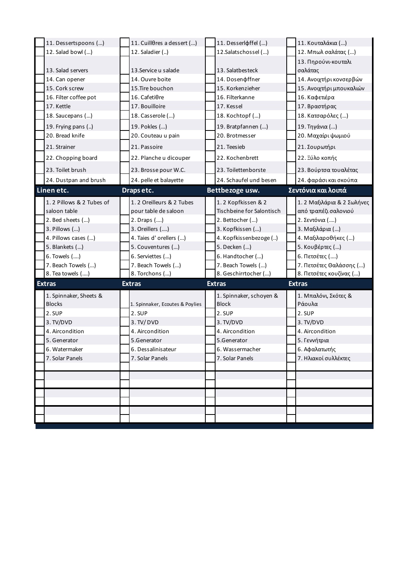| 11. Dessertspoons ()                                                                                                                                      |                                                                                                                      | 11. Cuillθres a dessert ()                                                                                                                                           |                                                                                                                                | 11. Desserløffel ()                                                                                                                                   |                                                                                                                                            | 11. Κουταλάκια ()                                                                                                                                                                    |
|-----------------------------------------------------------------------------------------------------------------------------------------------------------|----------------------------------------------------------------------------------------------------------------------|----------------------------------------------------------------------------------------------------------------------------------------------------------------------|--------------------------------------------------------------------------------------------------------------------------------|-------------------------------------------------------------------------------------------------------------------------------------------------------|--------------------------------------------------------------------------------------------------------------------------------------------|--------------------------------------------------------------------------------------------------------------------------------------------------------------------------------------|
| 12. Salad bowl ()                                                                                                                                         |                                                                                                                      | 12. Saladier ()                                                                                                                                                      |                                                                                                                                | 12.Salatschossel ()                                                                                                                                   |                                                                                                                                            | 12. Μπωλ σαλάτας ()                                                                                                                                                                  |
| 13. Salad servers<br>14. Can opener<br>15. Cork screw<br>16. Filter coffee pot<br>17. Kettle<br>18. Saucepans ()<br>19. Frying pans ()<br>20. Bread knife |                                                                                                                      | 13. Service u salade<br>14. Ouvre boite<br>15. Tire bouchon<br>$16.$ Cafeti $\theta$ re<br>17. Bouilloire<br>18. Casserole ()<br>19. Pokles ()<br>20. Couteau u pain |                                                                                                                                | 13. Salatbesteck<br>14. Dosen of fner<br>15. Korkenzieher<br>16. Filterkanne<br>17. Kessel<br>18. Kochtopf ()<br>19. Bratpfannen ()<br>20. Brotmesser |                                                                                                                                            | 13. Πηρούνι-κουταλι<br>σαλάτας<br>14. Ανοιχτήρι κονσερβών<br>15. Ανοιχτήρι μπουκαλιών<br>16. Καφετιέρα<br>17. Βραστήρας<br>18. Κατσαρόλες ()<br>19. Τηγάνια ()<br>20. Μαχαίρι ψωμιού |
| 21. Strainer                                                                                                                                              |                                                                                                                      | 21. Passoire                                                                                                                                                         |                                                                                                                                | 21. Teesieb                                                                                                                                           |                                                                                                                                            | 21. Σουρωτήρι                                                                                                                                                                        |
| 22. Chopping board                                                                                                                                        |                                                                                                                      | 22. Planche u dicouper                                                                                                                                               |                                                                                                                                | 22. Kochenbrett                                                                                                                                       |                                                                                                                                            | 22. Ξύλο κοπής                                                                                                                                                                       |
| 23. Toilet brush                                                                                                                                          |                                                                                                                      | 23. Brosse pour W.C.                                                                                                                                                 |                                                                                                                                | 23. Toilettenborste                                                                                                                                   |                                                                                                                                            | 23. Βούρτσα τουαλέτας                                                                                                                                                                |
| 24. Dustpan and brush                                                                                                                                     |                                                                                                                      | 24. pelle et balayette                                                                                                                                               |                                                                                                                                | 24. Schaufel und besen                                                                                                                                |                                                                                                                                            | 24. φαράσι και σκούπα                                                                                                                                                                |
|                                                                                                                                                           |                                                                                                                      |                                                                                                                                                                      |                                                                                                                                |                                                                                                                                                       |                                                                                                                                            | Σεντόνια και λοιπά                                                                                                                                                                   |
| 1.2 Pillows & 2 Tubes of                                                                                                                                  |                                                                                                                      | 1.2 Oreilleurs & 2 Tubes                                                                                                                                             |                                                                                                                                | 1.2 Kopfkissen & 2                                                                                                                                    |                                                                                                                                            | 1. 2 Μαξιλάρια & 2 Σωλήνες<br>από τραπέζι σαλονιού                                                                                                                                   |
|                                                                                                                                                           |                                                                                                                      |                                                                                                                                                                      |                                                                                                                                |                                                                                                                                                       |                                                                                                                                            | 2. Σεντόνια ()                                                                                                                                                                       |
|                                                                                                                                                           |                                                                                                                      |                                                                                                                                                                      |                                                                                                                                |                                                                                                                                                       |                                                                                                                                            | 3. Μαξιλάρια ()                                                                                                                                                                      |
| 4. Pillows cases ()                                                                                                                                       |                                                                                                                      | 4. Taies d'orellers ()                                                                                                                                               |                                                                                                                                | 4. Kopfkissenbezoge ()                                                                                                                                |                                                                                                                                            | 4. Μαξιλαροθήκες ()                                                                                                                                                                  |
| 5. Blankets ()                                                                                                                                            |                                                                                                                      | 5. Couventures ()                                                                                                                                                    |                                                                                                                                | 5. Decken ()                                                                                                                                          |                                                                                                                                            | 5. Κουβέρτες ()                                                                                                                                                                      |
| 6. Towels ()                                                                                                                                              |                                                                                                                      | 6. Serviettes ()                                                                                                                                                     |                                                                                                                                | 6. Handtocher ()                                                                                                                                      |                                                                                                                                            | 6. Πετσέτες ()                                                                                                                                                                       |
| 7. Beach Towels ()                                                                                                                                        |                                                                                                                      | 7. Beach Towels ()                                                                                                                                                   |                                                                                                                                | 7. Beach Towels ()                                                                                                                                    |                                                                                                                                            | 7. Πετσέτες Θαλάσσης ()                                                                                                                                                              |
| 8. Tea towels ()                                                                                                                                          |                                                                                                                      | 8. Torchons ()                                                                                                                                                       |                                                                                                                                | 8. Geschirrtocher ()                                                                                                                                  |                                                                                                                                            | 8. Πετσέτες κουζίνας ()                                                                                                                                                              |
|                                                                                                                                                           |                                                                                                                      |                                                                                                                                                                      |                                                                                                                                |                                                                                                                                                       |                                                                                                                                            | <b>Extras</b>                                                                                                                                                                        |
| 1. Spinnaker, Sheets &<br><b>Blocks</b>                                                                                                                   |                                                                                                                      | 1. Spinnaker, Ecoutes & Poylies                                                                                                                                      |                                                                                                                                | 1. Spinnaker, schoyen &<br><b>Block</b>                                                                                                               |                                                                                                                                            | 1. Μπαλόνι, Σκότες &<br>Ράουλα                                                                                                                                                       |
| 2. SUP                                                                                                                                                    |                                                                                                                      | 2. SUP                                                                                                                                                               |                                                                                                                                | 2. SUP                                                                                                                                                |                                                                                                                                            | 2. SUP                                                                                                                                                                               |
| 3. TV/DVD                                                                                                                                                 |                                                                                                                      | 3. TV/DVD                                                                                                                                                            |                                                                                                                                | 3. TV/DVD                                                                                                                                             |                                                                                                                                            | 3. TV/DVD                                                                                                                                                                            |
| 4. Aircondition                                                                                                                                           |                                                                                                                      | 4. Aircondition                                                                                                                                                      |                                                                                                                                | 4. Aircondition                                                                                                                                       |                                                                                                                                            | 4. Aircondition                                                                                                                                                                      |
| 5. Generator                                                                                                                                              |                                                                                                                      | 5.Generator                                                                                                                                                          |                                                                                                                                | 5.Generator                                                                                                                                           |                                                                                                                                            | 5. Γεννήτρια                                                                                                                                                                         |
|                                                                                                                                                           |                                                                                                                      |                                                                                                                                                                      |                                                                                                                                |                                                                                                                                                       |                                                                                                                                            | 6. Αφαλατωτής                                                                                                                                                                        |
|                                                                                                                                                           |                                                                                                                      |                                                                                                                                                                      |                                                                                                                                |                                                                                                                                                       |                                                                                                                                            | 7. Ηλιακοί συλλέκτες                                                                                                                                                                 |
|                                                                                                                                                           |                                                                                                                      |                                                                                                                                                                      |                                                                                                                                |                                                                                                                                                       |                                                                                                                                            |                                                                                                                                                                                      |
|                                                                                                                                                           |                                                                                                                      |                                                                                                                                                                      |                                                                                                                                |                                                                                                                                                       |                                                                                                                                            |                                                                                                                                                                                      |
|                                                                                                                                                           |                                                                                                                      |                                                                                                                                                                      |                                                                                                                                |                                                                                                                                                       |                                                                                                                                            |                                                                                                                                                                                      |
|                                                                                                                                                           |                                                                                                                      |                                                                                                                                                                      |                                                                                                                                |                                                                                                                                                       |                                                                                                                                            |                                                                                                                                                                                      |
|                                                                                                                                                           | Linen etc.<br>saloon table<br>2. Bed sheets ()<br>3. Pillows ()<br><b>Extras</b><br>6. Watermaker<br>7. Solar Panels |                                                                                                                                                                      | Draps etc.<br>pour table de saloon<br>2. Draps ()<br>3. Oreillers ()<br><b>Extras</b><br>6. Dessalinisateur<br>7. Solar Panels |                                                                                                                                                       | Bettbezoge usw.<br>Tischbeine for Salontisch<br>2. Bettocher ()<br>3. Kopfkissen ()<br><b>Extras</b><br>6. Wassermacher<br>7. Solar Panels |                                                                                                                                                                                      |